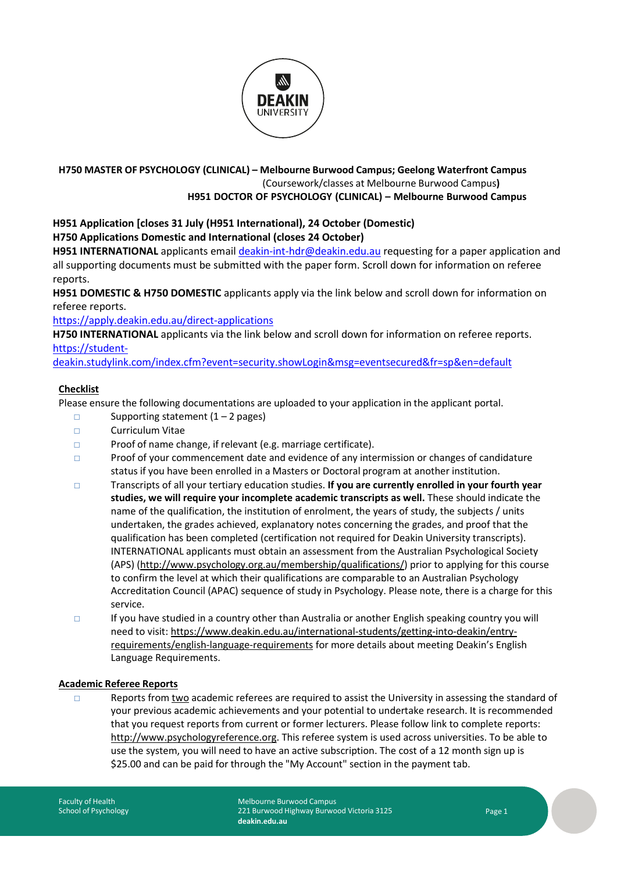

### **H750 MASTER OF PSYCHOLOGY (CLINICAL) – Melbourne Burwood Campus; Geelong Waterfront Campus** (Coursework/classes at Melbourne Burwood Campus**) H951 DOCTOR OF PSYCHOLOGY (CLINICAL) – Melbourne Burwood Campus**

#### **H951 Application [closes 31 July (H951 International), 24 October (Domestic) H750 Applications Domestic and International (closes 24 October)**

**H951 INTERNATIONAL** applicants email [deakin-int-hdr@deakin.edu.au](mailto:deakin-int-hdr@deakin.edu.au) requesting for a paper application and all supporting documents must be submitted with the paper form. Scroll down for information on referee reports.

**H951 DOMESTIC & H750 DOMESTIC** applicants apply via the link below and scroll down for information on referee reports.

<https://apply.deakin.edu.au/direct-applications>

**H750 INTERNATIONAL** applicants via the link below and scroll down for information on referee reports. [https://student-](https://student-deakin.studylink.com/index.cfm?event=security.showLogin&msg=eventsecured&fr=sp&en=default)

[deakin.studylink.com/index.cfm?event=security.showLogin&msg=eventsecured&fr=sp&en=default](https://student-deakin.studylink.com/index.cfm?event=security.showLogin&msg=eventsecured&fr=sp&en=default) 

# **Checklist**

Please ensure the following documentations are uploaded to your application in the applicant portal.

- $\Box$  Supporting statement  $(1 2$  pages)
- □ Curriculum Vitae
- □ Proof of name change, if relevant (e.g. marriage certificate).
- □ Proof of your commencement date and evidence of any intermission or changes of candidature status if you have been enrolled in a Masters or Doctoral program at another institution.
- □ Transcripts of all your tertiary education studies. **If you are currently enrolled in your fourth year studies, we will require your incomplete academic transcripts as well.** These should indicate the name of the qualification, the institution of enrolment, the years of study, the subjects / units undertaken, the grades achieved, explanatory notes concerning the grades, and proof that the qualification has been completed (certification not required for Deakin University transcripts). INTERNATIONAL applicants must obtain an assessment from the Australian Psychological Society (APS) [\(http://www.psychology.org.au/membership/qualifications/\)](http://www.psychology.org.au/membership/qualifications/) prior to applying for this course to confirm the level at which their qualifications are comparable to an Australian Psychology Accreditation Council (APAC) sequence of study in Psychology. Please note, there is a charge for this service.
- □ If you have studied in a country other than Australia or another English speaking country you will need to visit[: https://www.deakin.edu.au/international-students/getting-into-deakin/entry](https://www.deakin.edu.au/international-students/getting-into-deakin/entry-requirements/english-language-requirements)[requirements/english-language-requirements](https://www.deakin.edu.au/international-students/getting-into-deakin/entry-requirements/english-language-requirements) for more details about meeting Deakin's English Language Requirements.

# **Academic Referee Reports**

□ Reports from two academic referees are required to assist the University in assessing the standard of your previous academic achievements and your potential to undertake research. It is recommended that you request reports from current or former lecturers. Please follow link to complete reports: [http://www.psychologyreference.org.](http://www.psychologyreference.org/) This referee system is used across universities. To be able to use the system, you will need to have an active subscription. The cost of a 12 month sign up is \$25.00 and can be paid for through the "My Account" section in the payment tab.

Melbourne Burwood Campus 221 Burwood Highway Burwood Victoria 3125 **deakin.edu.au**

Page 1